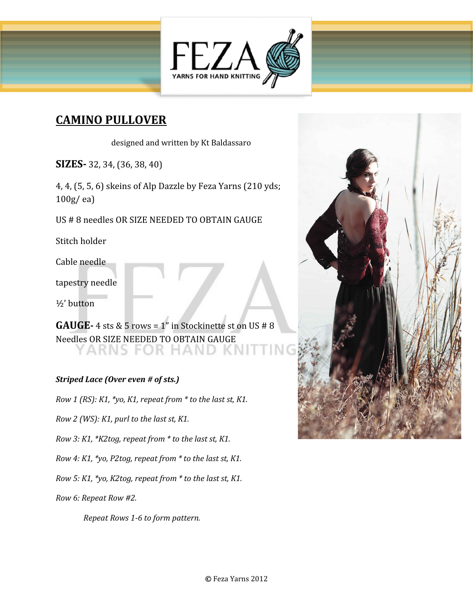

# **CAMINO PULLOVER**

designed and written by Kt Baldassaro

**SIZES-** 32, 34, (36, 38, 40)

4, 4, (5, 5, 6) skeins of Alp Dazzle by Feza Yarns (210 yds; 100g/ ea)

US # 8 needles OR SIZE NEEDED TO OBTAIN GAUGE

Stitch holder

Cable needle

tapestry needle

½' button

**GAUGE-** 4 sts & 5 rows = 1" in Stockinette st on US # 8 Needles OR SIZE NEEDED TO OBTAIN GAUGE ARNS FOR HAND

## *Striped Lace (Over even # of sts.)*

*Row 1 (RS): K1, \*yo, K1, repeat from \* to the last st, K1.*

*Row 2 (WS): K1, purl to the last st, K1.*

*Row 3: K1, \*K2tog, repeat from \* to the last st, K1.*

*Row 4: K1, \*yo, P2tog, repeat from \* to the last st, K1.*

*Row 5: K1, \*yo, K2tog, repeat from \* to the last st, K1.*

*Row 6: Repeat Row #2.*

*Repeat Rows 1-6 to form pattern.*

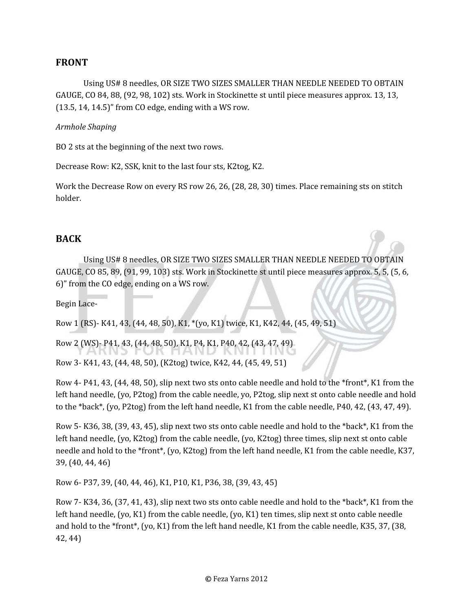# **FRONT**

Using US# 8 needles, OR SIZE TWO SIZES SMALLER THAN NEEDLE NEEDED TO OBTAIN GAUGE, CO 84, 88, (92, 98, 102) sts. Work in Stockinette st until piece measures approx. 13, 13, (13.5, 14, 14.5)" from CO edge, ending with a WS row.

#### *Armhole Shaping*

BO 2 sts at the beginning of the next two rows.

Decrease Row: K2, SSK, knit to the last four sts, K2tog, K2.

Work the Decrease Row on every RS row 26, 26, (28, 28, 30) times. Place remaining sts on stitch holder.

## **BACK**

Using US# 8 needles, OR SIZE TWO SIZES SMALLER THAN NEEDLE NEEDED TO OBTAIN GAUGE, CO 85, 89, (91, 99, 103) sts. Work in Stockinette st until piece measures approx. 5, 5, (5, 6, 6)" from the CO edge, ending on a WS row.

Begin Lace-

Row 1 (RS)- K41, 43, (44, 48, 50), K1, \*(yo, K1) twice, K1, K42, 44, (45, 49, 51)

Row 2 (WS)- P41, 43, (44, 48, 50), K1, P4, K1, P40, 42, (43, 47, 49)

Row 3- K41, 43, (44, 48, 50), (K2tog) twice, K42, 44, (45, 49, 51)

Row 4- P41, 43, (44, 48, 50), slip next two sts onto cable needle and hold to the \*front\*, K1 from the left hand needle, (yo, P2tog) from the cable needle, yo, P2tog, slip next st onto cable needle and hold to the \*back\*, (yo, P2tog) from the left hand needle, K1 from the cable needle, P40, 42, (43, 47, 49).

Row 5- K36, 38, (39, 43, 45), slip next two sts onto cable needle and hold to the \*back\*, K1 from the left hand needle, (yo, K2tog) from the cable needle, (yo, K2tog) three times, slip next st onto cable needle and hold to the \*front\*, (yo, K2tog) from the left hand needle, K1 from the cable needle, K37, 39, (40, 44, 46)

Row 6- P37, 39, (40, 44, 46), K1, P10, K1, P36, 38, (39, 43, 45)

Row 7- K34, 36, (37, 41, 43), slip next two sts onto cable needle and hold to the \*back\*, K1 from the left hand needle, (yo, K1) from the cable needle, (yo, K1) ten times, slip next st onto cable needle and hold to the \*front\*, (yo, K1) from the left hand needle, K1 from the cable needle, K35, 37, (38, 42, 44)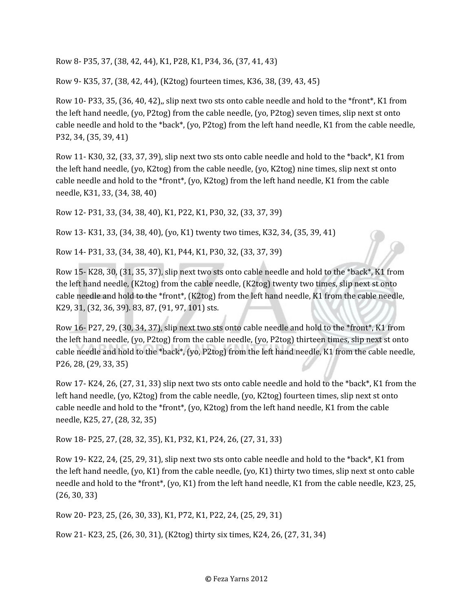Row 8- P35, 37, (38, 42, 44), K1, P28, K1, P34, 36, (37, 41, 43)

Row 9- K35, 37, (38, 42, 44), (K2tog) fourteen times, K36, 38, (39, 43, 45)

Row 10- P33, 35, (36, 40, 42),, slip next two sts onto cable needle and hold to the \*front\*, K1 from the left hand needle, (yo, P2tog) from the cable needle, (yo, P2tog) seven times, slip next st onto cable needle and hold to the \*back\*, (yo, P2tog) from the left hand needle, K1 from the cable needle, P32, 34, (35, 39, 41)

Row 11- K30, 32, (33, 37, 39), slip next two sts onto cable needle and hold to the \*back\*, K1 from the left hand needle, (yo, K2tog) from the cable needle, (yo, K2tog) nine times, slip next st onto cable needle and hold to the \*front\*, (yo, K2tog) from the left hand needle, K1 from the cable needle, K31, 33, (34, 38, 40)

Row 12- P31, 33, (34, 38, 40), K1, P22, K1, P30, 32, (33, 37, 39)

Row 13- K31, 33, (34, 38, 40), (yo, K1) twenty two times, K32, 34, (35, 39, 41)

Row 14- P31, 33, (34, 38, 40), K1, P44, K1, P30, 32, (33, 37, 39)

Row 15- K28, 30, (31, 35, 37), slip next two sts onto cable needle and hold to the \*back\*, K1 from the left hand needle, (K2tog) from the cable needle, (K2tog) twenty two times, slip next st onto cable needle and hold to the \*front\*, (K2tog) from the left hand needle, K1 from the cable needle, K29, 31, (32, 36, 39). 83, 87, (91, 97, 101) sts.

Row 16- P27, 29, (30, 34, 37), slip next two sts onto cable needle and hold to the \*front\*, K1 from the left hand needle, (yo, P2tog) from the cable needle, (yo, P2tog) thirteen times, slip next st onto cable needle and hold to the \*back\*, (yo, P2tog) from the left hand needle, K1 from the cable needle, P26, 28, (29, 33, 35)

Row 17- K24, 26, (27, 31, 33) slip next two sts onto cable needle and hold to the \*back\*, K1 from the left hand needle, (yo, K2tog) from the cable needle, (yo, K2tog) fourteen times, slip next st onto cable needle and hold to the \*front\*, (yo, K2tog) from the left hand needle, K1 from the cable needle, K25, 27, (28, 32, 35)

Row 18- P25, 27, (28, 32, 35), K1, P32, K1, P24, 26, (27, 31, 33)

Row 19- K22, 24, (25, 29, 31), slip next two sts onto cable needle and hold to the \*back\*, K1 from the left hand needle, (yo, K1) from the cable needle, (yo, K1) thirty two times, slip next st onto cable needle and hold to the \*front\*, (yo, K1) from the left hand needle, K1 from the cable needle, K23, 25, (26, 30, 33)

Row 20- P23, 25, (26, 30, 33), K1, P72, K1, P22, 24, (25, 29, 31)

Row 21- K23, 25, (26, 30, 31), (K2tog) thirty six times, K24, 26, (27, 31, 34)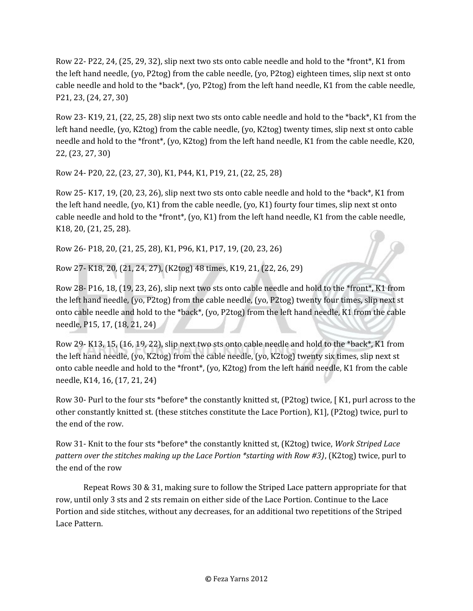Row 22- P22, 24, (25, 29, 32), slip next two sts onto cable needle and hold to the \*front\*, K1 from the left hand needle, (yo, P2tog) from the cable needle, (yo, P2tog) eighteen times, slip next st onto cable needle and hold to the \*back\*, (yo, P2tog) from the left hand needle, K1 from the cable needle, P21, 23, (24, 27, 30)

Row 23- K19, 21, (22, 25, 28) slip next two sts onto cable needle and hold to the \*back\*, K1 from the left hand needle, (yo, K2tog) from the cable needle, (yo, K2tog) twenty times, slip next st onto cable needle and hold to the \*front\*, (yo, K2tog) from the left hand needle, K1 from the cable needle, K20, 22, (23, 27, 30)

Row 24- P20, 22, (23, 27, 30), K1, P44, K1, P19, 21, (22, 25, 28)

Row 25- K17, 19, (20, 23, 26), slip next two sts onto cable needle and hold to the \*back\*, K1 from the left hand needle, (yo, K1) from the cable needle, (yo, K1) fourty four times, slip next st onto cable needle and hold to the \*front\*, (yo, K1) from the left hand needle, K1 from the cable needle, K18, 20, (21, 25, 28).

Row 26- P18, 20, (21, 25, 28), K1, P96, K1, P17, 19, (20, 23, 26)

Row 27- K18, 20, (21, 24, 27), (K2tog) 48 times, K19, 21, (22, 26, 29)

Row 28- P16, 18, (19, 23, 26), slip next two sts onto cable needle and hold to the \*front\*, K1 from the left hand needle, (yo, P2tog) from the cable needle, (yo, P2tog) twenty four times, slip next st onto cable needle and hold to the \*back\*, (yo, P2tog) from the left hand needle, K1 from the cable needle, P15, 17, (18, 21, 24)

Row 29- K13, 15, (16, 19, 22), slip next two sts onto cable needle and hold to the \*back\*, K1 from the left hand needle, (yo, K2tog) from the cable needle, (yo, K2tog) twenty six times, slip next st onto cable needle and hold to the \*front\*, (yo, K2tog) from the left hand needle, K1 from the cable needle, K14, 16, (17, 21, 24)

Row 30- Purl to the four sts \*before\* the constantly knitted st, (P2tog) twice, [ K1, purl across to the other constantly knitted st. (these stitches constitute the Lace Portion), K1], (P2tog) twice, purl to the end of the row.

Row 31- Knit to the four sts \*before\* the constantly knitted st, (K2tog) twice, *Work Striped Lace pattern over the stitches making up the Lace Portion \*starting with Row #3)*, (K2tog) twice, purl to the end of the row

Repeat Rows 30 & 31, making sure to follow the Striped Lace pattern appropriate for that row, until only 3 sts and 2 sts remain on either side of the Lace Portion. Continue to the Lace Portion and side stitches, without any decreases, for an additional two repetitions of the Striped Lace Pattern.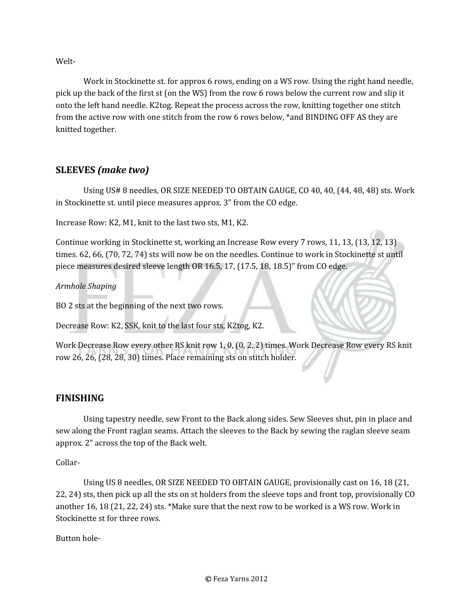Welt-

Work in Stockinette st. for approx 6 rows, ending on a WS row. Using the right hand needle, pick up the back of the first st (on the WS) from the row 6 rows below the current row and slip it onto the left hand needle. K2tog. Repeat the process across the row, knitting together one stitch from the active row with one stitch from the row 6 rows below, \*and BINDING OFF AS they are knitted together.

# **SLEEVES** *(make two)*

Using US# 8 needles, OR SIZE NEEDED TO OBTAIN GAUGE, CO 40, 40, (44, 48, 48) sts. Work in Stockinette st. until piece measures approx. 3" from the CO edge.

Increase Row: K2, M1, knit to the last two sts, M1, K2.

Continue working in Stockinette st, working an Increase Row every 7 rows, 11, 13, (13, 12, 13) times. 62, 66, (70, 72, 74) sts will now be on the needles. Continue to work in Stockinette st until piece measures desired sleeve length OR 16.5, 17, (17.5, 18, 18.5)" from CO edge.

*Armhole Shaping*

BO 2 sts at the beginning of the next two rows.

Decrease Row: K2, SSK, knit to the last four sts, K2tog, K2.

Work Decrease Row every other RS knit row 1, 0, (0, 2, 2) times. Work Decrease Row every RS knit row 26, 26, (28, 28, 30) times. Place remaining sts on stitch holder.

## **FINISHING**

Using tapestry needle, sew Front to the Back along sides. Sew Sleeves shut, pin in place and sew along the Front raglan seams. Attach the sleeves to the Back by sewing the raglan sleeve seam approx. 2" across the top of the Back welt.

Collar-

Using US 8 needles, OR SIZE NEEDED TO OBTAIN GAUGE, provisionally cast on 16, 18 (21, 22, 24) sts, then pick up all the sts on st holders from the sleeve tops and front top, provisionally CO another 16, 18 (21, 22, 24) sts. \*Make sure that the next row to be worked is a WS row. Work in Stockinette st for three rows.

Button hole-